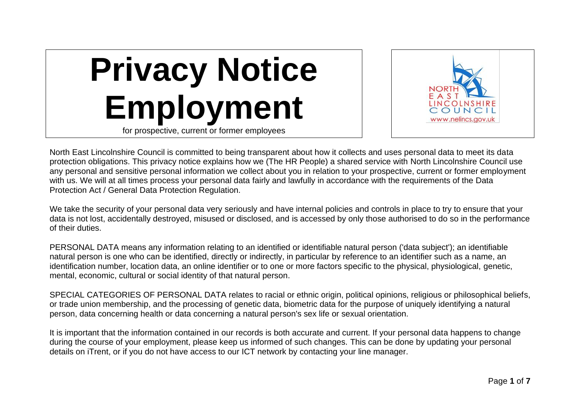



North East Lincolnshire Council is committed to being transparent about how it collects and uses personal data to meet its data protection obligations. This privacy notice explains how we (The HR People) a shared service with North Lincolnshire Council use any personal and sensitive personal information we collect about you in relation to your prospective, current or former employment with us. We will at all times process your personal data fairly and lawfully in accordance with the requirements of the Data Protection Act / General Data Protection Regulation.

We take the security of your personal data very seriously and have internal policies and controls in place to try to ensure that your data is not lost, accidentally destroyed, misused or disclosed, and is accessed by only those authorised to do so in the performance of their duties.

PERSONAL DATA means any information relating to an identified or identifiable natural person ('data subject'); an identifiable natural person is one who can be identified, directly or indirectly, in particular by reference to an identifier such as a name, an identification number, location data, an online identifier or to one or more factors specific to the physical, physiological, genetic, mental, economic, cultural or social identity of that natural person.

SPECIAL CATEGORIES OF PERSONAL DATA relates to racial or ethnic origin, political opinions, religious or philosophical beliefs, or trade union membership, and the processing of genetic data, biometric data for the purpose of uniquely identifying a natural person, data concerning health or data concerning a natural person's sex life or sexual orientation.

It is important that the information contained in our records is both accurate and current. If your personal data happens to change during the course of your employment, please keep us informed of such changes. This can be done by updating your personal details on iTrent, or if you do not have access to our ICT network by contacting your line manager.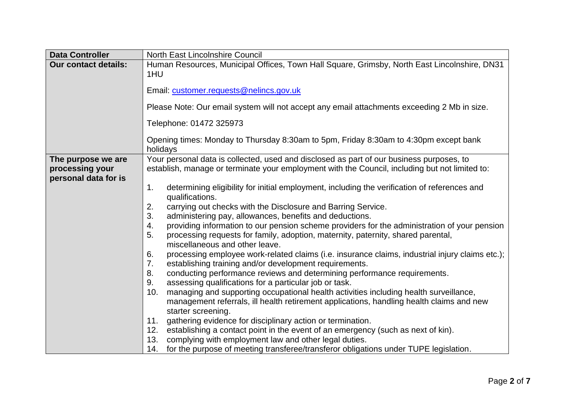| <b>Data Controller</b>                  | <b>North East Lincolnshire Council</b>                                                                                                                                                                                                                                                                                                                                       |
|-----------------------------------------|------------------------------------------------------------------------------------------------------------------------------------------------------------------------------------------------------------------------------------------------------------------------------------------------------------------------------------------------------------------------------|
| <b>Our contact details:</b>             | Human Resources, Municipal Offices, Town Hall Square, Grimsby, North East Lincolnshire, DN31<br>1HU<br>Email: customer.requests@nelincs.gov.uk<br>Please Note: Our email system will not accept any email attachments exceeding 2 Mb in size.<br>Telephone: 01472 325973<br>Opening times: Monday to Thursday 8:30am to 5pm, Friday 8:30am to 4:30pm except bank<br>holidays |
| The purpose we are                      | Your personal data is collected, used and disclosed as part of our business purposes, to                                                                                                                                                                                                                                                                                     |
| processing your<br>personal data for is | establish, manage or terminate your employment with the Council, including but not limited to:                                                                                                                                                                                                                                                                               |
|                                         | determining eligibility for initial employment, including the verification of references and<br>1.<br>qualifications.                                                                                                                                                                                                                                                        |
|                                         | 2.<br>carrying out checks with the Disclosure and Barring Service.                                                                                                                                                                                                                                                                                                           |
|                                         | 3.<br>administering pay, allowances, benefits and deductions.                                                                                                                                                                                                                                                                                                                |
|                                         | providing information to our pension scheme providers for the administration of your pension<br>4.<br>5.<br>processing requests for family, adoption, maternity, paternity, shared parental,<br>miscellaneous and other leave.                                                                                                                                               |
|                                         | processing employee work-related claims (i.e. insurance claims, industrial injury claims etc.);<br>6.<br>7.<br>establishing training and/or development requirements.                                                                                                                                                                                                        |
|                                         | conducting performance reviews and determining performance requirements.<br>8.                                                                                                                                                                                                                                                                                               |
|                                         | assessing qualifications for a particular job or task.<br>9.                                                                                                                                                                                                                                                                                                                 |
|                                         | managing and supporting occupational health activities including health surveillance,<br>10.<br>management referrals, ill health retirement applications, handling health claims and new                                                                                                                                                                                     |
|                                         | starter screening.<br>gathering evidence for disciplinary action or termination.<br>11.                                                                                                                                                                                                                                                                                      |
|                                         | establishing a contact point in the event of an emergency (such as next of kin).<br>12.                                                                                                                                                                                                                                                                                      |
|                                         | complying with employment law and other legal duties.<br>13.                                                                                                                                                                                                                                                                                                                 |
|                                         | 14. for the purpose of meeting transferee/transferor obligations under TUPE legislation.                                                                                                                                                                                                                                                                                     |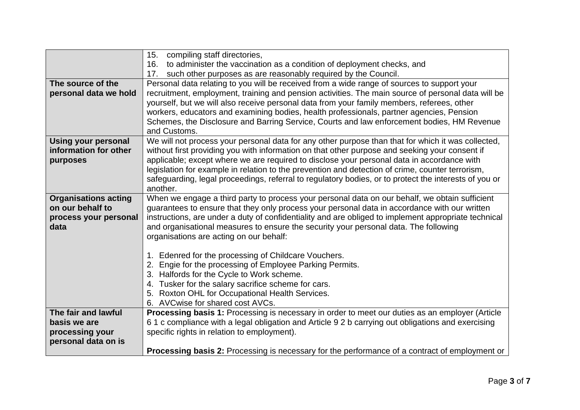|                                                 | 15. compiling staff directories,                                                                                                                                                                      |
|-------------------------------------------------|-------------------------------------------------------------------------------------------------------------------------------------------------------------------------------------------------------|
|                                                 | 16. to administer the vaccination as a condition of deployment checks, and                                                                                                                            |
|                                                 | 17. such other purposes as are reasonably required by the Council.                                                                                                                                    |
| The source of the                               | Personal data relating to you will be received from a wide range of sources to support your                                                                                                           |
| personal data we hold                           | recruitment, employment, training and pension activities. The main source of personal data will be                                                                                                    |
|                                                 | yourself, but we will also receive personal data from your family members, referees, other                                                                                                            |
|                                                 | workers, educators and examining bodies, health professionals, partner agencies, Pension                                                                                                              |
|                                                 | Schemes, the Disclosure and Barring Service, Courts and law enforcement bodies, HM Revenue                                                                                                            |
|                                                 | and Customs.                                                                                                                                                                                          |
| <b>Using your personal</b>                      | We will not process your personal data for any other purpose than that for which it was collected,                                                                                                    |
| information for other                           | without first providing you with information on that other purpose and seeking your consent if                                                                                                        |
| purposes                                        | applicable; except where we are required to disclose your personal data in accordance with                                                                                                            |
|                                                 | legislation for example in relation to the prevention and detection of crime, counter terrorism,                                                                                                      |
|                                                 | safeguarding, legal proceedings, referral to regulatory bodies, or to protect the interests of you or                                                                                                 |
|                                                 | another.                                                                                                                                                                                              |
| <b>Organisations acting</b><br>on our behalf to | When we engage a third party to process your personal data on our behalf, we obtain sufficient                                                                                                        |
|                                                 | guarantees to ensure that they only process your personal data in accordance with our written<br>instructions, are under a duty of confidentiality and are obliged to implement appropriate technical |
| process your personal<br>data                   | and organisational measures to ensure the security your personal data. The following                                                                                                                  |
|                                                 | organisations are acting on our behalf:                                                                                                                                                               |
|                                                 |                                                                                                                                                                                                       |
|                                                 | 1. Edenred for the processing of Childcare Vouchers.                                                                                                                                                  |
|                                                 | Engie for the processing of Employee Parking Permits.<br>2.                                                                                                                                           |
|                                                 | 3. Halfords for the Cycle to Work scheme.                                                                                                                                                             |
|                                                 | 4. Tusker for the salary sacrifice scheme for cars.                                                                                                                                                   |
|                                                 | 5. Roxton OHL for Occupational Health Services.                                                                                                                                                       |
|                                                 | 6. AVCwise for shared cost AVCs.                                                                                                                                                                      |
| The fair and lawful                             | Processing basis 1: Processing is necessary in order to meet our duties as an employer (Article                                                                                                       |
| basis we are                                    | 61 c compliance with a legal obligation and Article 92 b carrying out obligations and exercising                                                                                                      |
| processing your                                 | specific rights in relation to employment).                                                                                                                                                           |
| personal data on is                             |                                                                                                                                                                                                       |
|                                                 | <b>Processing basis 2:</b> Processing is necessary for the performance of a contract of employment or                                                                                                 |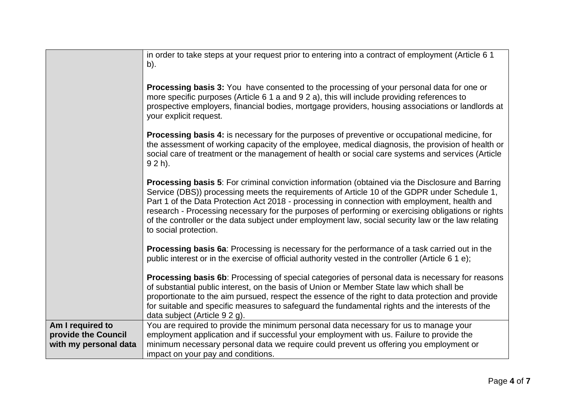|                                                                  | in order to take steps at your request prior to entering into a contract of employment (Article 6 1<br>b).                                                                                                                                                                                                                                                                                                                                                                                                                                     |
|------------------------------------------------------------------|------------------------------------------------------------------------------------------------------------------------------------------------------------------------------------------------------------------------------------------------------------------------------------------------------------------------------------------------------------------------------------------------------------------------------------------------------------------------------------------------------------------------------------------------|
|                                                                  | <b>Processing basis 3:</b> You have consented to the processing of your personal data for one or<br>more specific purposes (Article 6 1 a and 9 2 a), this will include providing references to<br>prospective employers, financial bodies, mortgage providers, housing associations or landlords at<br>your explicit request.                                                                                                                                                                                                                 |
|                                                                  | <b>Processing basis 4:</b> is necessary for the purposes of preventive or occupational medicine, for<br>the assessment of working capacity of the employee, medical diagnosis, the provision of health or<br>social care of treatment or the management of health or social care systems and services (Article<br>$92 h$ ).                                                                                                                                                                                                                    |
|                                                                  | <b>Processing basis 5:</b> For criminal conviction information (obtained via the Disclosure and Barring<br>Service (DBS)) processing meets the requirements of Article 10 of the GDPR under Schedule 1,<br>Part 1 of the Data Protection Act 2018 - processing in connection with employment, health and<br>research - Processing necessary for the purposes of performing or exercising obligations or rights<br>of the controller or the data subject under employment law, social security law or the law relating<br>to social protection. |
|                                                                  | Processing basis 6a: Processing is necessary for the performance of a task carried out in the<br>public interest or in the exercise of official authority vested in the controller (Article 6 1 e);                                                                                                                                                                                                                                                                                                                                            |
|                                                                  | <b>Processing basis 6b:</b> Processing of special categories of personal data is necessary for reasons<br>of substantial public interest, on the basis of Union or Member State law which shall be<br>proportionate to the aim pursued, respect the essence of the right to data protection and provide<br>for suitable and specific measures to safeguard the fundamental rights and the interests of the<br>data subject (Article 9 2 g).                                                                                                    |
| Am I required to<br>provide the Council<br>with my personal data | You are required to provide the minimum personal data necessary for us to manage your<br>employment application and if successful your employment with us. Failure to provide the<br>minimum necessary personal data we require could prevent us offering you employment or<br>impact on your pay and conditions.                                                                                                                                                                                                                              |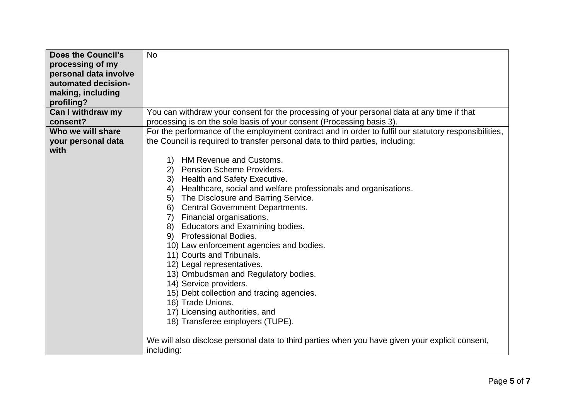| <b>Does the Council's</b> | <b>No</b>                                                                                             |
|---------------------------|-------------------------------------------------------------------------------------------------------|
| processing of my          |                                                                                                       |
| personal data involve     |                                                                                                       |
| automated decision-       |                                                                                                       |
| making, including         |                                                                                                       |
| profiling?                |                                                                                                       |
| Can I withdraw my         | You can withdraw your consent for the processing of your personal data at any time if that            |
| consent?                  | processing is on the sole basis of your consent (Processing basis 3).                                 |
| Who we will share         | For the performance of the employment contract and in order to fulfil our statutory responsibilities, |
| your personal data        | the Council is required to transfer personal data to third parties, including:                        |
| with                      |                                                                                                       |
|                           | <b>HM Revenue and Customs.</b><br>1)                                                                  |
|                           | <b>Pension Scheme Providers.</b><br>(2)                                                               |
|                           | 3)<br>Health and Safety Executive.                                                                    |
|                           | Healthcare, social and welfare professionals and organisations.<br>4)                                 |
|                           | The Disclosure and Barring Service.<br>5)                                                             |
|                           | <b>Central Government Departments.</b><br>6)                                                          |
|                           | Financial organisations.<br>7)                                                                        |
|                           | <b>Educators and Examining bodies.</b><br>8)                                                          |
|                           | 9)<br><b>Professional Bodies.</b>                                                                     |
|                           | 10) Law enforcement agencies and bodies.                                                              |
|                           | 11) Courts and Tribunals.                                                                             |
|                           | 12) Legal representatives.                                                                            |
|                           | 13) Ombudsman and Regulatory bodies.                                                                  |
|                           | 14) Service providers.                                                                                |
|                           | 15) Debt collection and tracing agencies.                                                             |
|                           | 16) Trade Unions.                                                                                     |
|                           | 17) Licensing authorities, and                                                                        |
|                           | 18) Transferee employers (TUPE).                                                                      |
|                           |                                                                                                       |
|                           | We will also disclose personal data to third parties when you have given your explicit consent,       |
|                           | including:                                                                                            |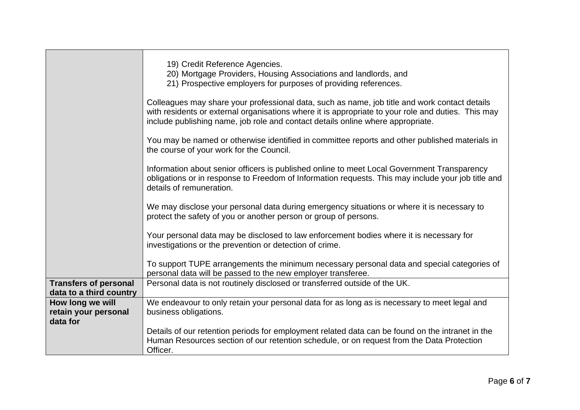|                                                         | 19) Credit Reference Agencies.<br>20) Mortgage Providers, Housing Associations and landlords, and<br>21) Prospective employers for purposes of providing references.                                                                                                                   |
|---------------------------------------------------------|----------------------------------------------------------------------------------------------------------------------------------------------------------------------------------------------------------------------------------------------------------------------------------------|
|                                                         | Colleagues may share your professional data, such as name, job title and work contact details<br>with residents or external organisations where it is appropriate to your role and duties. This may<br>include publishing name, job role and contact details online where appropriate. |
|                                                         | You may be named or otherwise identified in committee reports and other published materials in<br>the course of your work for the Council.                                                                                                                                             |
|                                                         | Information about senior officers is published online to meet Local Government Transparency<br>obligations or in response to Freedom of Information requests. This may include your job title and<br>details of remuneration.                                                          |
|                                                         | We may disclose your personal data during emergency situations or where it is necessary to<br>protect the safety of you or another person or group of persons.                                                                                                                         |
|                                                         | Your personal data may be disclosed to law enforcement bodies where it is necessary for<br>investigations or the prevention or detection of crime.                                                                                                                                     |
|                                                         | To support TUPE arrangements the minimum necessary personal data and special categories of<br>personal data will be passed to the new employer transferee.                                                                                                                             |
| <b>Transfers of personal</b><br>data to a third country | Personal data is not routinely disclosed or transferred outside of the UK.                                                                                                                                                                                                             |
| How long we will<br>retain your personal<br>data for    | We endeavour to only retain your personal data for as long as is necessary to meet legal and<br>business obligations.                                                                                                                                                                  |
|                                                         | Details of our retention periods for employment related data can be found on the intranet in the<br>Human Resources section of our retention schedule, or on request from the Data Protection<br>Officer.                                                                              |